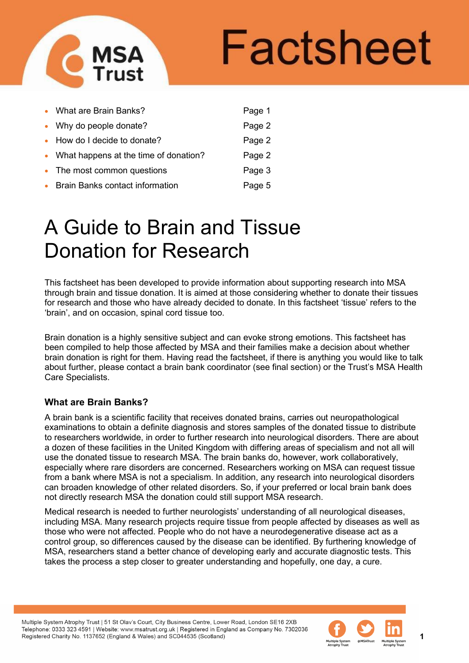

# **Factsheet**

|           | • What are Brain Banks?                 | Page 1 |
|-----------|-----------------------------------------|--------|
|           | • Why do people donate?                 | Page 2 |
|           | • How do I decide to donate?            | Page 2 |
|           | • What happens at the time of donation? | Page 2 |
|           | • The most common questions             | Page 3 |
| $\bullet$ | <b>Brain Banks contact information</b>  | Page 5 |

# A Guide to Brain and Tissue Donation for Research

This factsheet has been developed to provide information about supporting research into MSA through brain and tissue donation. It is aimed at those considering whether to donate their tissues for research and those who have already decided to donate. In this factsheet 'tissue' refers to the 'brain', and on occasion, spinal cord tissue too.

Brain donation is a highly sensitive subject and can evoke strong emotions. This factsheet has been compiled to help those affected by MSA and their families make a decision about whether brain donation is right for them. Having read the factsheet, if there is anything you would like to talk about further, please contact a brain bank coordinator (see final section) or the Trust's MSA Health Care Specialists.

# **What are Brain Banks?**

A brain bank is a scientific facility that receives donated brains, carries out neuropathological examinations to obtain a definite diagnosis and stores samples of the donated tissue to distribute to researchers worldwide, in order to further research into neurological disorders. There are about a dozen of these facilities in the United Kingdom with differing areas of specialism and not all will use the donated tissue to research MSA. The brain banks do, however, work collaboratively, especially where rare disorders are concerned. Researchers working on MSA can request tissue from a bank where MSA is not a specialism. In addition, any research into neurological disorders can broaden knowledge of other related disorders. So, if your preferred or local brain bank does not directly research MSA the donation could still support MSA research.

Medical research is needed to further neurologists' understanding of all neurological diseases, including MSA. Many research projects require tissue from people affected by diseases as well as those who were not affected. People who do not have a neurodegenerative disease act as a control group, so differences caused by the disease can be identified. By furthering knowledge of MSA, researchers stand a better chance of developing early and accurate diagnostic tests. This takes the process a step closer to greater understanding and hopefully, one day, a cure.

Multiple System Atrophy Trust | 51 St Olav's Court, City Business Centre, Lower Road, London SE16 2XB Telephone: 0333 323 4591 | Website: www.msatrust.org.uk | Registered in England as Company No. 7302036 Registered Charity No. 1137652 (England & Wales) and SC044535 (Scotland)

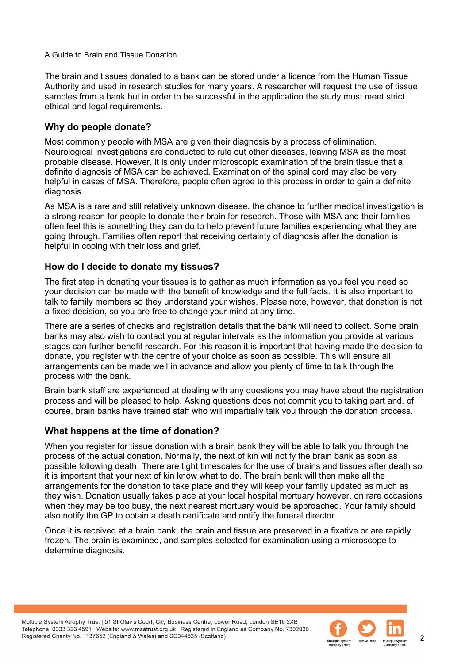The brain and tissues donated to a bank can be stored under a licence from the Human Tissue Authority and used in research studies for many years. A researcher will request the use of tissue samples from a bank but in order to be successful in the application the study must meet strict ethical and legal requirements.

# **Why do people donate?**

Most commonly people with MSA are given their diagnosis by a process of elimination. Neurological investigations are conducted to rule out other diseases, leaving MSA as the most probable disease. However, it is only under microscopic examination of the brain tissue that a definite diagnosis of MSA can be achieved. Examination of the spinal cord may also be very helpful in cases of MSA. Therefore, people often agree to this process in order to gain a definite diagnosis.

As MSA is a rare and still relatively unknown disease, the chance to further medical investigation is a strong reason for people to donate their brain for research. Those with MSA and their families often feel this is something they can do to help prevent future families experiencing what they are going through. Families often report that receiving certainty of diagnosis after the donation is helpful in coping with their loss and grief.

# **How do I decide to donate my tissues?**

The first step in donating your tissues is to gather as much information as you feel you need so your decision can be made with the benefit of knowledge and the full facts. It is also important to talk to family members so they understand your wishes. Please note, however, that donation is not a fixed decision, so you are free to change your mind at any time.

There are a series of checks and registration details that the bank will need to collect. Some brain banks may also wish to contact you at regular intervals as the information you provide at various stages can further benefit research. For this reason it is important that having made the decision to donate, you register with the centre of your choice as soon as possible. This will ensure all arrangements can be made well in advance and allow you plenty of time to talk through the process with the bank.

Brain bank staff are experienced at dealing with any questions you may have about the registration process and will be pleased to help. Asking questions does not commit you to taking part and, of course, brain banks have trained staff who will impartially talk you through the donation process.

# **What happens at the time of donation?**

When you register for tissue donation with a brain bank they will be able to talk you through the process of the actual donation. Normally, the next of kin will notify the brain bank as soon as possible following death. There are tight timescales for the use of brains and tissues after death so it is important that your next of kin know what to do. The brain bank will then make all the arrangements for the donation to take place and they will keep your family updated as much as they wish. Donation usually takes place at your local hospital mortuary however, on rare occasions when they may be too busy, the next nearest mortuary would be approached. Your family should also notify the GP to obtain a death certificate and notify the funeral director.

Once it is received at a brain bank, the brain and tissue are preserved in a fixative or are rapidly frozen. The brain is examined, and samples selected for examination using a microscope to determine diagnosis.

Multiple System Atrophy Trust | 51 St Olav's Court, City Business Centre, Lower Road, London SE16 2XB Telephone: 0333 323 4591 | Website: www.msatrust.org.uk | Registered in England as Company No. 7302036 Registered Charity No. 1137652 (England & Wales) and SC044535 (Scotland)

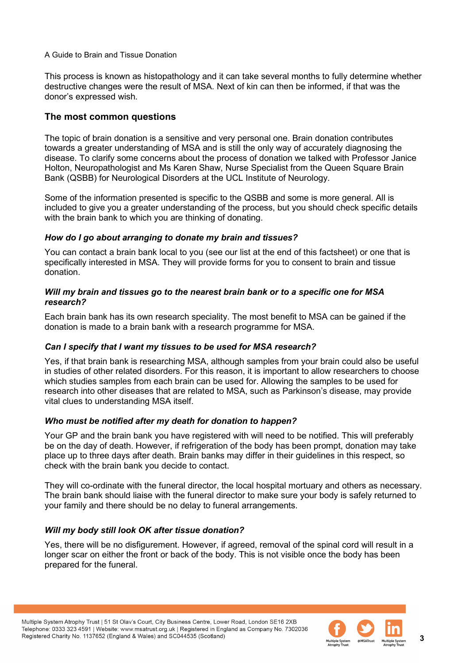This process is known as histopathology and it can take several months to fully determine whether destructive changes were the result of MSA. Next of kin can then be informed, if that was the donor's expressed wish.

# **The most common questions**

The topic of brain donation is a sensitive and very personal one. Brain donation contributes towards a greater understanding of MSA and is still the only way of accurately diagnosing the disease. To clarify some concerns about the process of donation we talked with Professor Janice Holton, Neuropathologist and Ms Karen Shaw, Nurse Specialist from the Queen Square Brain Bank (QSBB) for Neurological Disorders at the UCL Institute of Neurology.

Some of the information presented is specific to the QSBB and some is more general. All is included to give you a greater understanding of the process, but you should check specific details with the brain bank to which you are thinking of donating.

#### *How do I go about arranging to donate my brain and tissues?*

You can contact a brain bank local to you (see our list at the end of this factsheet) or one that is specifically interested in MSA. They will provide forms for you to consent to brain and tissue donation.

#### *Will my brain and tissues go to the nearest brain bank or to a specific one for MSA research?*

Each brain bank has its own research speciality. The most benefit to MSA can be gained if the donation is made to a brain bank with a research programme for MSA.

#### *Can I specify that I want my tissues to be used for MSA research?*

Yes, if that brain bank is researching MSA, although samples from your brain could also be useful in studies of other related disorders. For this reason, it is important to allow researchers to choose which studies samples from each brain can be used for. Allowing the samples to be used for research into other diseases that are related to MSA, such as Parkinson's disease, may provide vital clues to understanding MSA itself.

#### *Who must be notified after my death for donation to happen?*

Your GP and the brain bank you have registered with will need to be notified. This will preferably be on the day of death. However, if refrigeration of the body has been prompt, donation may take place up to three days after death. Brain banks may differ in their guidelines in this respect, so check with the brain bank you decide to contact.

They will co-ordinate with the funeral director, the local hospital mortuary and others as necessary. The brain bank should liaise with the funeral director to make sure your body is safely returned to your family and there should be no delay to funeral arrangements.

# *Will my body still look OK after tissue donation?*

Yes, there will be no disfigurement. However, if agreed, removal of the spinal cord will result in a longer scar on either the front or back of the body. This is not visible once the body has been prepared for the funeral.

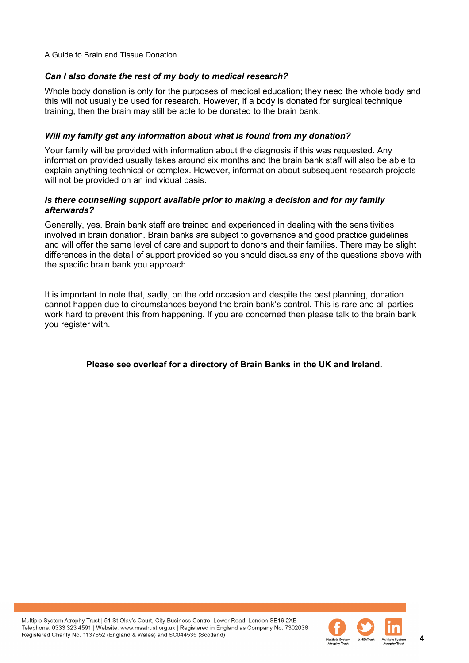## *Can I also donate the rest of my body to medical research?*

Whole body donation is only for the purposes of medical education; they need the whole body and this will not usually be used for research. However, if a body is donated for surgical technique training, then the brain may still be able to be donated to the brain bank.

#### *Will my family get any information about what is found from my donation?*

Your family will be provided with information about the diagnosis if this was requested. Any information provided usually takes around six months and the brain bank staff will also be able to explain anything technical or complex. However, information about subsequent research projects will not be provided on an individual basis.

#### *Is there counselling support available prior to making a decision and for my family afterwards?*

Generally, yes. Brain bank staff are trained and experienced in dealing with the sensitivities involved in brain donation. Brain banks are subject to governance and good practice guidelines and will offer the same level of care and support to donors and their families. There may be slight differences in the detail of support provided so you should discuss any of the questions above with the specific brain bank you approach.

It is important to note that, sadly, on the odd occasion and despite the best planning, donation cannot happen due to circumstances beyond the brain bank's control. This is rare and all parties work hard to prevent this from happening. If you are concerned then please talk to the brain bank you register with.

# **Please see overleaf for a directory of Brain Banks in the UK and Ireland.**

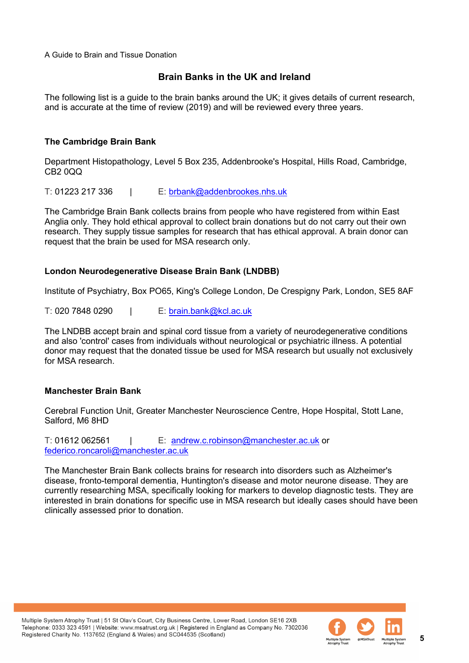# **Brain Banks in the UK and Ireland**

The following list is a guide to the brain banks around the UK; it gives details of current research, and is accurate at the time of review (2019) and will be reviewed every three years.

## **The Cambridge Brain Bank**

Department Histopathology, Level 5 Box 235, Addenbrooke's Hospital, Hills Road, Cambridge, CB2 0QQ

T: 01223 217 336 | E: [brbank@addenbrookes.nhs.uk](mailto:brbank@addenbrookes.nhs.uk)

The Cambridge Brain Bank collects brains from people who have registered from within East Anglia only. They hold ethical approval to collect brain donations but do not carry out their own research. They supply tissue samples for research that has ethical approval. A brain donor can request that the brain be used for MSA research only.

#### **London Neurodegenerative Disease Brain Bank (LNDBB)**

Institute of Psychiatry, Box PO65, King's College London, De Crespigny Park, London, SE5 8AF

T: 020 7848 0290 | E: [brain.bank@kcl.ac.uk](mailto:brain.bank@kcl.ac.uk)

The LNDBB accept brain and spinal cord tissue from a variety of neurodegenerative conditions and also 'control' cases from individuals without neurological or psychiatric illness. A potential donor may request that the donated tissue be used for MSA research but usually not exclusively for MSA research.

#### **Manchester Brain Bank**

Cerebral Function Unit, Greater Manchester Neuroscience Centre, Hope Hospital, Stott Lane, Salford, M6 8HD

T: 01612 062561 | E: [andrew.c.robinson@manchester.ac.uk](mailto:brainbank@manchester.ac.uk) or [federico.roncaroli@manchester.ac.uk](mailto:federico.roncaroli@manchester.ac.uk) 

The Manchester Brain Bank collects brains for research into disorders such as Alzheimer's disease, fronto-temporal dementia, Huntington's disease and motor neurone disease. They are currently researching MSA, specifically looking for markers to develop diagnostic tests. They are interested in brain donations for specific use in MSA research but ideally cases should have been clinically assessed prior to donation.

Multiple System Atrophy Trust | 51 St Olav's Court, City Business Centre, Lower Road, London SE16 2XB Telephone: 0333 323 4591 | Website: www.msatrust.org.uk | Registered in England as Company No. 7302036 Registered Charity No. 1137652 (England & Wales) and SC044535 (Scotland)

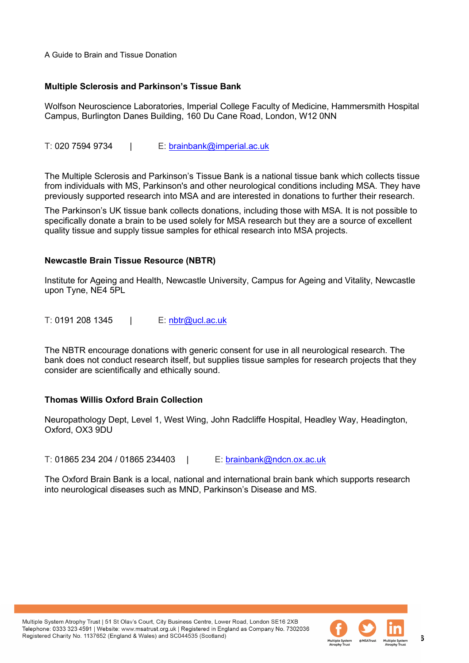#### **Multiple Sclerosis and Parkinson's Tissue Bank**

Wolfson Neuroscience Laboratories, Imperial College Faculty of Medicine, Hammersmith Hospital Campus, Burlington Danes Building, 160 Du Cane Road, London, W12 0NN

T: 020 7594 9734 | E: [brainbank@imperial.ac.uk](mailto:brainbank@imperial.ac.uk) 

The Multiple Sclerosis and Parkinson's Tissue Bank is a national tissue bank which collects tissue from individuals with MS, Parkinson's and other neurological conditions including MSA. They have previously supported research into MSA and are interested in donations to further their research.

The Parkinson's UK tissue bank collects donations, including those with MSA. It is not possible to specifically donate a brain to be used solely for MSA research but they are a source of excellent quality tissue and supply tissue samples for ethical research into MSA projects.

#### **Newcastle Brain Tissue Resource (NBTR)**

Institute for Ageing and Health, Newcastle University, Campus for Ageing and Vitality, Newcastle upon Tyne, NE4 5PL

T: 0191 208 1345 | E: [nbtr@ucl.ac.uk](mailto:nbtr@ucl.ac.uk)

The NBTR encourage donations with generic consent for use in all neurological research. The bank does not conduct research itself, but supplies tissue samples for research projects that they consider are scientifically and ethically sound.

#### **Thomas Willis Oxford Brain Collection**

Neuropathology Dept, Level 1, West Wing, John Radcliffe Hospital, Headley Way, Headington, Oxford, OX3 9DU

T: 01865 234 204 / 01865 234403 | E: [brainbank@ndcn.ox.ac.uk](mailto:brainbank@ndcn.ox.ac.uk) 

The Oxford Brain Bank is a local, national and international brain bank which supports research into neurological diseases such as MND, Parkinson's Disease and MS.

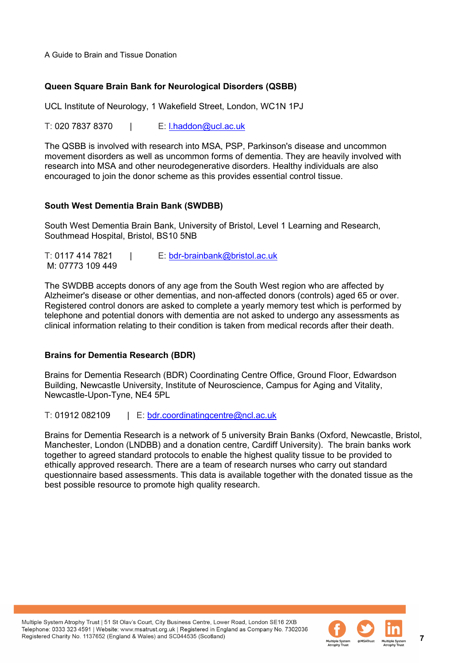#### **Queen Square Brain Bank for Neurological Disorders (QSBB)**

UCL Institute of Neurology, 1 Wakefield Street, London, WC1N 1PJ

T: 020 7837 8370 | E: [l.haddon@ucl.ac.uk](mailto:l.haddon@ucl.ac.uk)

The QSBB is involved with research into MSA, PSP, Parkinson's disease and uncommon movement disorders as well as uncommon forms of dementia. They are heavily involved with research into MSA and other neurodegenerative disorders. Healthy individuals are also encouraged to join the donor scheme as this provides essential control tissue.

#### **South West Dementia Brain Bank (SWDBB)**

South West Dementia Brain Bank, University of Bristol, Level 1 Learning and Research, Southmead Hospital, Bristol, BS10 5NB

T: 0117 414 7821 | E: [bdr-brainbank@bristol.ac.uk](mailto:bdr-brainbank@bristol.ac.uk)  M: 07773 109 449

The SWDBB accepts donors of any age from the South West region who are affected by Alzheimer's disease or other dementias, and non-affected donors (controls) aged 65 or over. Registered control donors are asked to complete a yearly memory test which is performed by telephone and potential donors with dementia are not asked to undergo any assessments as clinical information relating to their condition is taken from medical records after their death.

#### **Brains for Dementia Research (BDR)**

Brains for Dementia Research (BDR) Coordinating Centre Office, Ground Floor, Edwardson Building, Newcastle University, Institute of Neuroscience, Campus for Aging and Vitality, Newcastle-Upon-Tyne, NE4 5PL

T: 01912 082109 | E: [bdr.coordinatingcentre@ncl.ac.uk](mailto:bdr.coordinatingcentre@ncl.ac.uk) 

Brains for Dementia Research is a network of 5 university Brain Banks (Oxford, Newcastle, Bristol, Manchester, London (LNDBB) and a donation centre, Cardiff University). The brain banks work together to agreed standard protocols to enable the highest quality tissue to be provided to ethically approved research. There are a team of research nurses who carry out standard questionnaire based assessments. This data is available together with the donated tissue as the best possible resource to promote high quality research.

Multiple System Atrophy Trust | 51 St Olav's Court, City Business Centre, Lower Road, London SE16 2XB Telephone: 0333 323 4591 | Website: www.msatrust.org.uk | Registered in England as Company No. 7302036 Registered Charity No. 1137652 (England & Wales) and SC044535 (Scotland)

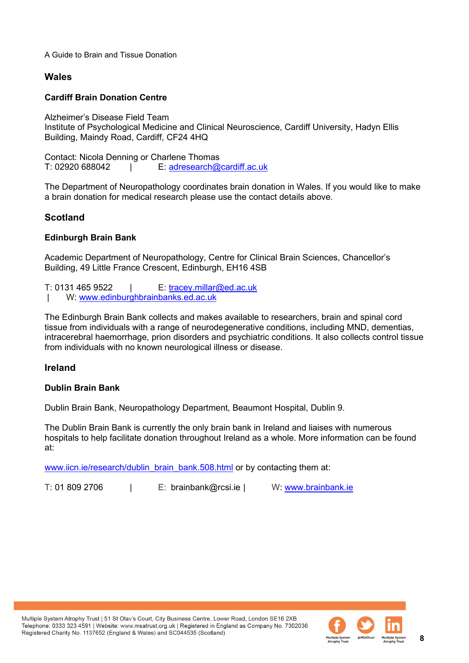# **Wales**

## **Cardiff Brain Donation Centre**

Alzheimer's Disease Field Team Institute of Psychological Medicine and Clinical Neuroscience, Cardiff University, Hadyn Ellis Building, Maindy Road, Cardiff, CF24 4HQ

Contact: Nicola Denning or Charlene Thomas | E: adresearch@cardiff.ac.uk

The Department of Neuropathology coordinates brain donation in Wales. If you would like to make a brain donation for medical research please use the contact details above.

# **Scotland**

# **Edinburgh Brain Bank**

Academic Department of Neuropathology, Centre for Clinical Brain Sciences, Chancellor's Building, 49 Little France Crescent, Edinburgh, EH16 4SB

T: 0131 465 9522 | E: tracey.millar@ed.ac.uk W: [www.edinburghbrainbanks.ed.ac.uk](http://www.edinburghbrainbanks.ed.ac.uk/)

The Edinburgh Brain Bank collects and makes available to researchers, brain and spinal cord tissue from individuals with a range of neurodegenerative conditions, including MND, dementias, intracerebral haemorrhage, prion disorders and psychiatric conditions. It also collects control tissue from individuals with no known neurological illness or disease.

# **Ireland**

#### **Dublin Brain Bank**

Dublin Brain Bank, Neuropathology Department, Beaumont Hospital, Dublin 9.

The Dublin Brain Bank is currently the only brain bank in Ireland and liaises with numerous hospitals to help facilitate donation throughout Ireland as a whole. More information can be found at:

[www.iicn.ie/research/dublin\\_brain\\_bank.508.html](http://www.iicn.ie/research/dublin_brain_bank.508.html) or by contacting them at:

T: 01 809 2706 | E: brainbank@rcsi.ie | W: [www.brainbank.ie](http://www.brainbank.ie/)